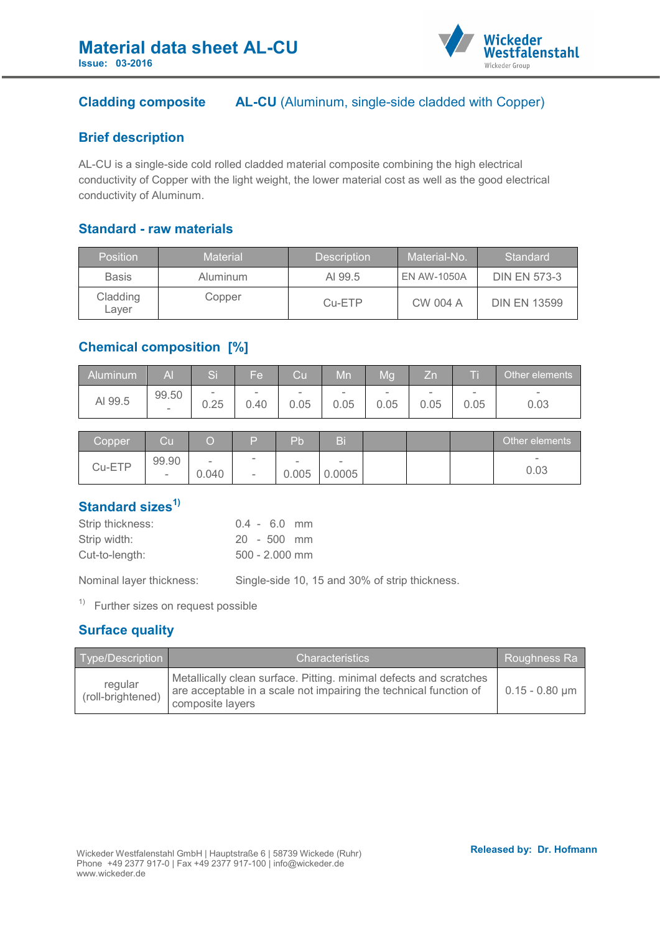

# **Cladding composite AL-CU** (Aluminum, single-side cladded with Copper)

## **Brief description**

AL-CU is a single-side cold rolled cladded material composite combining the high electrical conductivity of Copper with the light weight, the lower material cost as well as the good electrical conductivity of Aluminum.

#### **Standard - raw materials**

| <b>Position</b>   | Material | <b>Description</b> | Material-No.       | Standard            |
|-------------------|----------|--------------------|--------------------|---------------------|
| <b>Basis</b>      | Aluminum | AI 99.5            | <b>EN AW-1050A</b> | <b>DIN EN 573-3</b> |
| Cladding<br>Laver | Copper   | $Cu-ETP$           | CW 004 A           | <b>DIN EN 13599</b> |

# **Chemical composition [%]**

| Aluminum | A                        | ъ.     | Fe                       | Cu     | Mn     | Mg   | Zn                       |                          | Other elements           |
|----------|--------------------------|--------|--------------------------|--------|--------|------|--------------------------|--------------------------|--------------------------|
| AI 99.5  | 99.50                    | $\sim$ | $\overline{\phantom{0}}$ | $\sim$ | $\sim$ | -    | $\overline{\phantom{a}}$ | $\overline{\phantom{a}}$ | $\overline{\phantom{a}}$ |
|          | $\overline{\phantom{a}}$ | 0.25   | 0.40                     | 0.05   | 0.05   | 0.05 | 0.05                     | 0.05                     | 0.03                     |

| Copper | Cu              |                 |               | Pb              |             |  | Other elements |
|--------|-----------------|-----------------|---------------|-----------------|-------------|--|----------------|
| Cu-ETP | 99.90<br>$\sim$ | $\sim$<br>0.040 | -<br>$\equiv$ | $\sim$<br>0.005 | -<br>0.0005 |  | $\sim$<br>0.03 |

# **Standard sizes1)**

| Strip thickness: | $0.4 - 6.0$ mm   |
|------------------|------------------|
| Strip width:     | $20 - 500$ mm    |
| Cut-to-length:   | $500 - 2.000$ mm |
|                  |                  |

Nominal layer thickness: Single-side 10, 15 and 30% of strip thickness.

 $1)$  Further sizes on request possible

# **Surface quality**

| Type/Description             | <b>Characteristics</b>                                                                                                                                      | Roughness Ra     |
|------------------------------|-------------------------------------------------------------------------------------------------------------------------------------------------------------|------------------|
| regular<br>(roll-brightened) | Metallically clean surface. Pitting. minimal defects and scratches<br>are acceptable in a scale not impairing the technical function of<br>composite layers | $0.15 - 0.80$ µm |